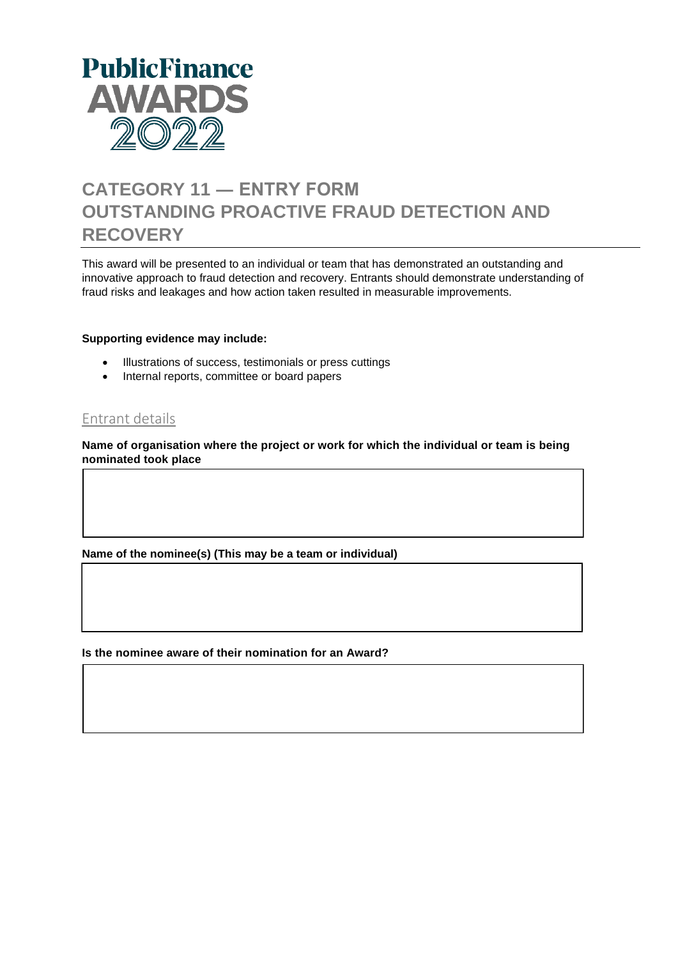

# **CATEGORY 11 ― ENTRY FORM OUTSTANDING PROACTIVE FRAUD DETECTION AND RECOVERY**

This award will be presented to an individual or team that has demonstrated an outstanding and innovative approach to fraud detection and recovery. Entrants should demonstrate understanding of fraud risks and leakages and how action taken resulted in measurable improvements.

#### **Supporting evidence may include:**

- Illustrations of success, testimonials or press cuttings
- Internal reports, committee or board papers

## Entrant details

**Name of organisation where the project or work for which the individual or team is being nominated took place**

**Name of the nominee(s) (This may be a team or individual)**

**Is the nominee aware of their nomination for an Award?**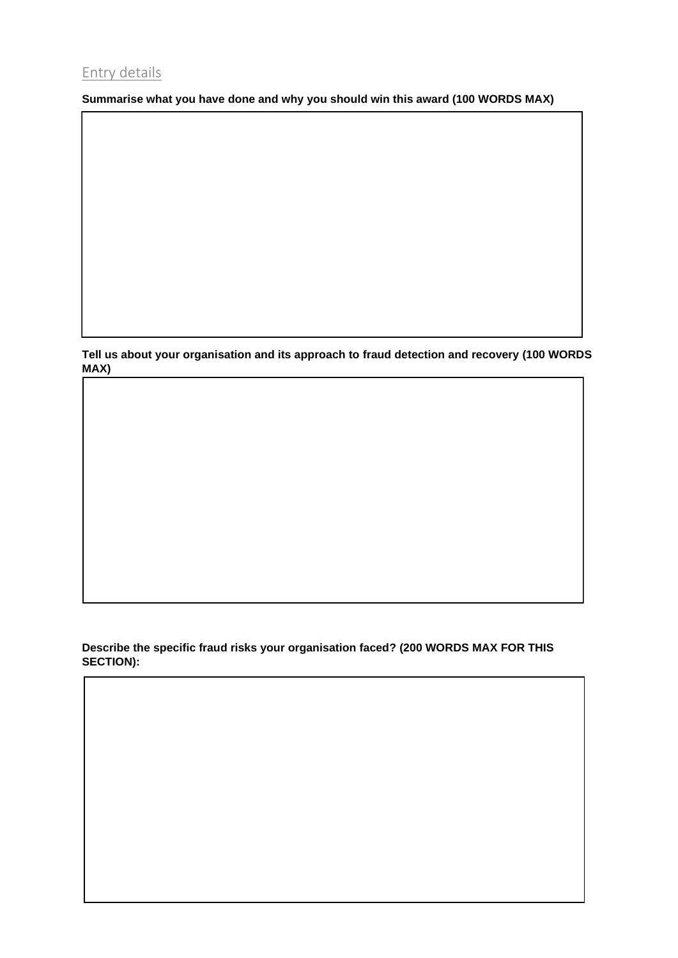# Entry details

**Summarise what you have done and why you should win this award (100 WORDS MAX)**

**Tell us about your organisation and its approach to fraud detection and recovery (100 WORDS MAX)**

### **Describe the specific fraud risks your organisation faced? (200 WORDS MAX FOR THIS SECTION):**